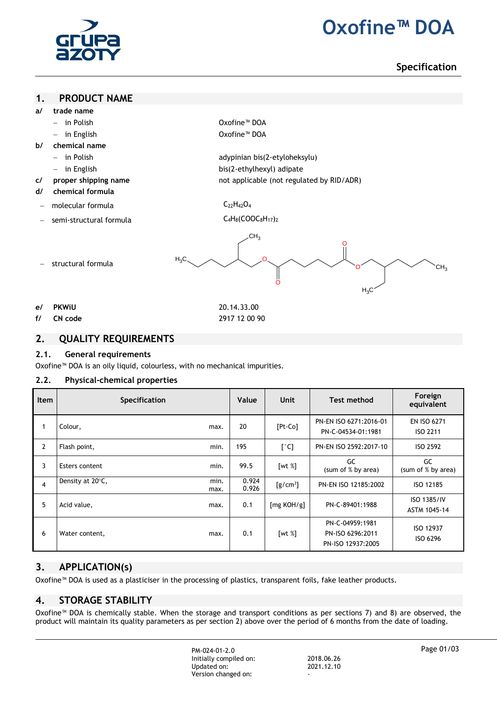

# **2. Oxofine™ DOA**

**Specification**

### **1. PRODUCT NAME**

- **a/ trade name**
	- in Polish Oxofine™ DOA
	-
- **b/ chemical name**
	-
	-
- **c/ proper shipping name not applicable (not regulated by RID/ADR)**
- **d/ chemical formula**
- molecular formula  $C_{22}H_{42}O_4$
- semi-structural formula C<sub>4</sub>H<sub>8</sub>(COOC<sub>8</sub>H<sub>17</sub>)<sub>2</sub>

structural formula

in English Oxofine™ DOA

 in Polish adypinian bis(2-etyloheksylu) in English bis(2-ethylhexyl) adipate

- 
- 



- **e/ PKWiU** 20.14.33.00
- **f/ CN code** 2917 12 00 90
- 

## **2. QUALITY REQUIREMENTS**

## **2.1. General requirements**

Oxofine™ DOA is an oily liquid, colourless, with no mechanical impurities.

## **2.2. Physical-chemical properties**

| <b>Item</b>    | <b>Specification</b> |              | Value          | Unit                                        | <b>Test method</b>                                       | Foreign<br>equivalent              |
|----------------|----------------------|--------------|----------------|---------------------------------------------|----------------------------------------------------------|------------------------------------|
| $\mathbf{1}$   | Colour,              | max.         | 20             | $[Pt-Co]$                                   | PN-EN ISO 6271:2016-01<br>PN-C-04534-01:1981             | <b>EN ISO 6271</b><br>ISO 2211     |
| $\overline{2}$ | Flash point,         | min.         | 195            | $[^{\circ}C]$                               | PN-EN ISO 2592:2017-10                                   | ISO 2592                           |
| 3              | Esters content       | min.         | 99.5           | [wt $%$ ]                                   | GC<br>(sum of % by area)                                 | GC<br>(sum of % by area)           |
| $\overline{4}$ | Density at 20°C,     | min.<br>max. | 0.924<br>0.926 | $\left[\frac{\text{g}}{\text{cm}^3}\right]$ | PN-EN ISO 12185:2002                                     | ISO 12185                          |
| 5              | Acid value,          | max.         | 0.1            | [mg KOH/g]                                  | PN-C-89401:1988                                          | <b>ISO 1385/IV</b><br>ASTM 1045-14 |
| 6              | Water content,       | max.         | 0.1            | [wt $%$ ]                                   | PN-C-04959:1981<br>PN-ISO 6296:2011<br>PN-ISO 12937:2005 | ISO 12937<br>ISO 6296              |

# **3. APPLICATION(s)**

Oxofine™ DOA is used as a plasticiser in the processing of plastics, transparent foils, fake leather products.

# **4. STORAGE STABILITY**

Oxofine™ DOA is chemically stable. When the storage and transport conditions as per sections 7) and 8) are observed, the product will maintain its quality parameters as per section 2) above over the period of 6 months from the date of loading.

> PM-024-01-2.0 Initially compiled on: 2018.06.26<br>
> Updated on: 2021.12.10 Updated on: Version changed on: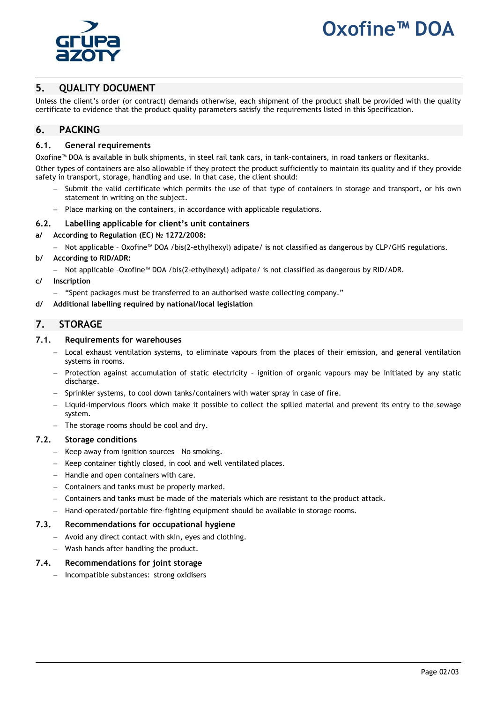

# **Dxofine™ DO**

# **5. QUALITY DOCUMENT**

Unless the client's order (or contract) demands otherwise, each shipment of the product shall be provided with the quality certificate to evidence that the product quality parameters satisfy the requirements listed in this Specification.

## **6. PACKING**

## **6.1. General requirements**

Oxofine™ DOA is available in bulk shipments, in steel rail tank cars, in tank-containers, in road tankers or flexitanks.

Other types of containers are also allowable if they protect the product sufficiently to maintain its quality and if they provide safety in transport, storage, handling and use. In that case, the client should:

- Submit the valid certificate which permits the use of that type of containers in storage and transport, or his own statement in writing on the subject.
- Place marking on the containers, in accordance with applicable regulations.

### **6.2. Labelling applicable for client's unit containers**

- **a/ According to Regulation (EC) № 1272/2008:**
	- Not applicable Oxofine™ DOA /bis(2-ethylhexyl) adipate/ is not classified as dangerous by CLP/GHS regulations.
- **b/ According to RID/ADR:**
	- Not applicable -Oxofine™ DOA /bis(2-ethylhexyl) adipate/ is not classified as dangerous by RID/ADR.
- **c/ Inscription**
	- "Spent packages must be transferred to an authorised waste collecting company."
- **d/ Additional labelling required by national/local legislation**

## **7. STORAGE**

### **7.1. Requirements for warehouses**

- Local exhaust ventilation systems, to eliminate vapours from the places of their emission, and general ventilation systems in rooms.
- Protection against accumulation of static electricity ignition of organic vapours may be initiated by any static discharge.
- Sprinkler systems, to cool down tanks/containers with water spray in case of fire.
- Liquid-impervious floors which make it possible to collect the spilled material and prevent its entry to the sewage system.
- $-$  The storage rooms should be cool and dry.

#### **7.2. Storage conditions**

- Keep away from ignition sources No smoking.
- Keep container tightly closed, in cool and well ventilated places.
- $-$  Handle and open containers with care.
- Containers and tanks must be properly marked.
- Containers and tanks must be made of the materials which are resistant to the product attack.
- Hand-operated/portable fire-fighting equipment should be available in storage rooms.

#### **7.3. Recommendations for occupational hygiene**

- Avoid any direct contact with skin, eyes and clothing.
- Wash hands after handling the product.

## **7.4. Recommendations for joint storage**

Incompatible substances: strong oxidisers